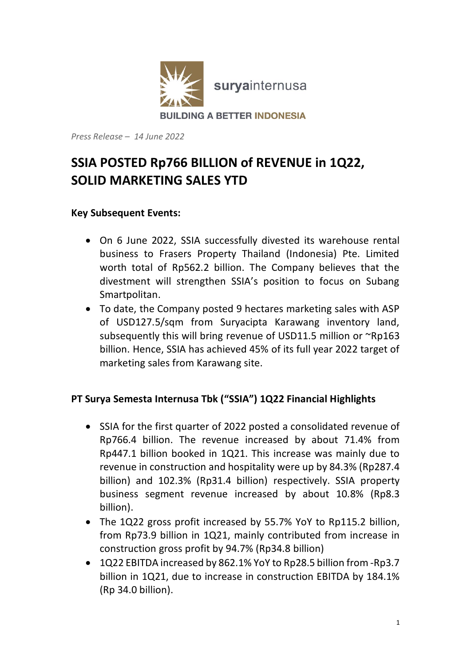

*Press Release – 14 June 2022*

# **SSIA POSTED Rp766 BILLION of REVENUE in 1Q22, SOLID MARKETING SALES YTD**

## **Key Subsequent Events:**

- On 6 June 2022, SSIA successfully divested its warehouse rental business to Frasers Property Thailand (Indonesia) Pte. Limited worth total of Rp562.2 billion. The Company believes that the divestment will strengthen SSIA's position to focus on Subang Smartpolitan.
- To date, the Company posted 9 hectares marketing sales with ASP of USD127.5/sqm from Suryacipta Karawang inventory land, subsequently this will bring revenue of USD11.5 million or ~Rp163 billion. Hence, SSIA has achieved 45% of its full year 2022 target of marketing sales from Karawang site.

## **PT Surya Semesta Internusa Tbk ("SSIA") 1Q22 Financial Highlights**

- SSIA for the first quarter of 2022 posted a consolidated revenue of Rp766.4 billion. The revenue increased by about 71.4% from Rp447.1 billion booked in 1Q21. This increase was mainly due to revenue in construction and hospitality were up by 84.3% (Rp287.4 billion) and 102.3% (Rp31.4 billion) respectively. SSIA property business segment revenue increased by about 10.8% (Rp8.3 billion).
- The 1Q22 gross profit increased by 55.7% YoY to Rp115.2 billion, from Rp73.9 billion in 1Q21, mainly contributed from increase in construction gross profit by 94.7% (Rp34.8 billion)
- 1Q22 EBITDA increased by 862.1% YoY to Rp28.5 billion from -Rp3.7 billion in 1Q21, due to increase in construction EBITDA by 184.1% (Rp 34.0 billion).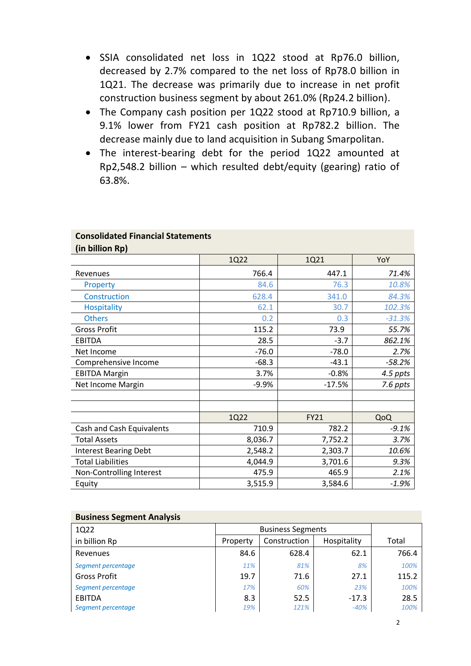- SSIA consolidated net loss in 1Q22 stood at Rp76.0 billion, decreased by 2.7% compared to the net loss of Rp78.0 billion in 1Q21. The decrease was primarily due to increase in net profit construction business segment by about 261.0% (Rp24.2 billion).
- The Company cash position per 1Q22 stood at Rp710.9 billion, a 9.1% lower from FY21 cash position at Rp782.2 billion. The decrease mainly due to land acquisition in Subang Smarpolitan.
- The interest-bearing debt for the period 1Q22 amounted at Rp2,548.2 billion – which resulted debt/equity (gearing) ratio of 63.8%.

|                              | 1Q22    | 1Q21        | YoY      |
|------------------------------|---------|-------------|----------|
| Revenues                     | 766.4   | 447.1       | 71.4%    |
| Property                     | 84.6    | 76.3        | 10.8%    |
| Construction                 | 628.4   | 341.0       | 84.3%    |
| <b>Hospitality</b>           | 62.1    | 30.7        | 102.3%   |
| <b>Others</b>                | 0.2     | 0.3         | $-31.3%$ |
| <b>Gross Profit</b>          | 115.2   | 73.9        | 55.7%    |
| <b>EBITDA</b>                | 28.5    | $-3.7$      | 862.1%   |
| Net Income                   | $-76.0$ | $-78.0$     | 2.7%     |
| Comprehensive Income         | $-68.3$ | $-43.1$     | $-58.2%$ |
| <b>EBITDA Margin</b>         | 3.7%    | $-0.8%$     | 4.5 ppts |
| Net Income Margin            | $-9.9%$ | $-17.5%$    | 7.6 ppts |
|                              |         |             |          |
|                              |         |             |          |
|                              | 1Q22    | <b>FY21</b> | QoQ      |
| Cash and Cash Equivalents    | 710.9   | 782.2       | $-9.1%$  |
| <b>Total Assets</b>          | 8,036.7 | 7,752.2     | 3.7%     |
| <b>Interest Bearing Debt</b> | 2,548.2 | 2,303.7     | 10.6%    |
| <b>Total Liabilities</b>     | 4,044.9 | 3,701.6     | 9.3%     |
| Non-Controlling Interest     | 475.9   | 465.9       | 2.1%     |
| Equity                       | 3,515.9 | 3,584.6     | $-1.9%$  |

#### **Consolidated Financial Statements**

**(in billion Rp)**

| <b>Business Segment Analysis</b> |                          |              |             |       |
|----------------------------------|--------------------------|--------------|-------------|-------|
| 1Q22                             | <b>Business Segments</b> |              |             |       |
| in billion Rp                    | Property                 | Construction | Hospitality | Total |
| Revenues                         | 84.6                     | 628.4        | 62.1        | 766.4 |
| Segment percentage               | 11%                      | 81%          | 8%          | 100%  |
| Gross Profit                     | 19.7                     | 71.6         | 27.1        | 115.2 |
| Segment percentage               | 17%                      | 60%          | 23%         | 100%  |
| EBITDA                           | 8.3                      | 52.5         | $-17.3$     | 28.5  |
| Segment percentage               | 19%                      | 121%         | $-40%$      | 100%  |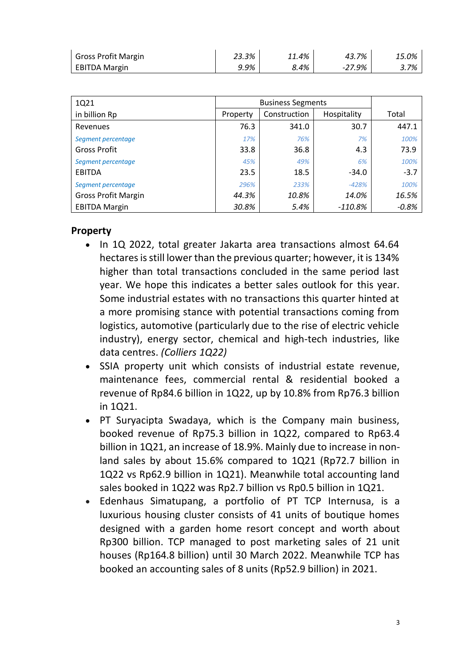| <b>Gross Profit Margin</b> | 23.3% | 11.4% | 43.7%  | 15.0% |
|----------------------------|-------|-------|--------|-------|
| EBITDA Margin              | 9.9%  | 8.4%  | -27.9% | 3.7%  |

| 1Q21                       | <b>Business Segments</b> |              |             |        |
|----------------------------|--------------------------|--------------|-------------|--------|
| in billion Rp              | Property                 | Construction | Hospitality | Total  |
| Revenues                   | 76.3                     | 341.0        | 30.7        | 447.1  |
| Segment percentage         | 17%                      | 76%          | 7%          | 100%   |
| <b>Gross Profit</b>        | 33.8                     | 36.8         | 4.3         | 73.9   |
| Segment percentage         | 45%                      | 49%          | 6%          | 100%   |
| EBITDA                     | 23.5                     | 18.5         | $-34.0$     | $-3.7$ |
| Segment percentage         | 296%                     | 233%         | $-428%$     | 100%   |
| <b>Gross Profit Margin</b> | 44.3%                    | 10.8%        | 14.0%       | 16.5%  |
| <b>EBITDA Margin</b>       | 30.8%                    | 5.4%         | $-110.8\%$  | -0.8%  |

### **Property**

- In 1Q 2022, total greater Jakarta area transactions almost 64.64 hectares is still lower than the previous quarter; however, it is 134% higher than total transactions concluded in the same period last year. We hope this indicates a better sales outlook for this year. Some industrial estates with no transactions this quarter hinted at a more promising stance with potential transactions coming from logistics, automotive (particularly due to the rise of electric vehicle industry), energy sector, chemical and high-tech industries, like data centres. *(Colliers 1Q22)*
- SSIA property unit which consists of industrial estate revenue, maintenance fees, commercial rental & residential booked a revenue of Rp84.6 billion in 1Q22, up by 10.8% from Rp76.3 billion in 1Q21.
- PT Suryacipta Swadaya, which is the Company main business, booked revenue of Rp75.3 billion in 1Q22, compared to Rp63.4 billion in 1Q21, an increase of 18.9%. Mainly due to increase in nonland sales by about 15.6% compared to 1Q21 (Rp72.7 billion in 1Q22 vs Rp62.9 billion in 1Q21). Meanwhile total accounting land sales booked in 1Q22 was Rp2.7 billion vs Rp0.5 billion in 1Q21.
- Edenhaus Simatupang, a portfolio of PT TCP Internusa, is a luxurious housing cluster consists of 41 units of boutique homes designed with a garden home resort concept and worth about Rp300 billion. TCP managed to post marketing sales of 21 unit houses (Rp164.8 billion) until 30 March 2022. Meanwhile TCP has booked an accounting sales of 8 units (Rp52.9 billion) in 2021.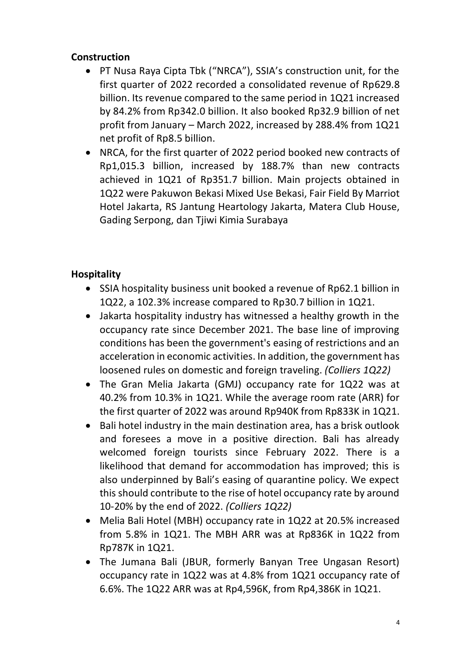## **Construction**

- PT Nusa Raya Cipta Tbk ("NRCA"), SSIA's construction unit, for the first quarter of 2022 recorded a consolidated revenue of Rp629.8 billion. Its revenue compared to the same period in 1Q21 increased by 84.2% from Rp342.0 billion. It also booked Rp32.9 billion of net profit from January – March 2022, increased by 288.4% from 1Q21 net profit of Rp8.5 billion.
- NRCA, for the first quarter of 2022 period booked new contracts of Rp1,015.3 billion, increased by 188.7% than new contracts achieved in 1Q21 of Rp351.7 billion. Main projects obtained in 1Q22 were Pakuwon Bekasi Mixed Use Bekasi, Fair Field By Marriot Hotel Jakarta, RS Jantung Heartology Jakarta, Matera Club House, Gading Serpong, dan Tjiwi Kimia Surabaya

# **Hospitality**

- SSIA hospitality business unit booked a revenue of Rp62.1 billion in 1Q22, a 102.3% increase compared to Rp30.7 billion in 1Q21.
- Jakarta hospitality industry has witnessed a healthy growth in the occupancy rate since December 2021. The base line of improving conditions has been the government's easing of restrictions and an acceleration in economic activities. In addition, the government has loosened rules on domestic and foreign traveling. *(Colliers 1Q22)*
- The Gran Melia Jakarta (GMJ) occupancy rate for 1Q22 was at 40.2% from 10.3% in 1Q21. While the average room rate (ARR) for the first quarter of 2022 was around Rp940K from Rp833K in 1Q21.
- Bali hotel industry in the main destination area, has a brisk outlook and foresees a move in a positive direction. Bali has already welcomed foreign tourists since February 2022. There is a likelihood that demand for accommodation has improved; this is also underpinned by Bali's easing of quarantine policy. We expect this should contribute to the rise of hotel occupancy rate by around 10-20% by the end of 2022. *(Colliers 1Q22)*
- Melia Bali Hotel (MBH) occupancy rate in 1Q22 at 20.5% increased from 5.8% in 1Q21. The MBH ARR was at Rp836K in 1Q22 from Rp787K in 1Q21.
- The Jumana Bali (JBUR, formerly Banyan Tree Ungasan Resort) occupancy rate in 1Q22 was at 4.8% from 1Q21 occupancy rate of 6.6%. The 1Q22 ARR was at Rp4,596K, from Rp4,386K in 1Q21.